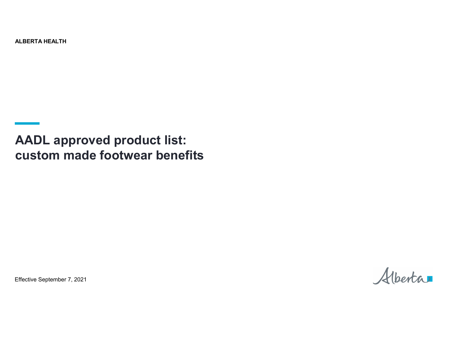ALBERTA HEALTH

**AADL approved product list: custom made footwear benefits**

Effective September 7, 2021

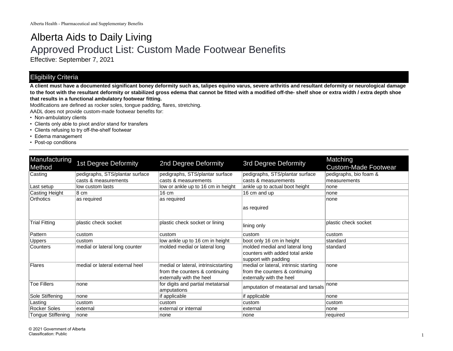## Alberta Aids to Daily Living Approved Product List: Custom Made Footwear Benefits

Effective: September 7, 2021

## Eligibility Criteria

**A client must have a documented significant boney deformity such as, talipes equino varus, severe arthritis and resultant deformity or neurological damage to the foot with the resultant deformity or stabilized gross edema that cannot be fitted with a modified off-the- shelf shoe or extra width / extra depth shoe that results in a functional ambulatory footwear fitting.**

Modifications are defined as rocker soles, tongue padding, flares, stretching.

AADL does not provide custom-made footwear benefits for:

- Non-ambulatory clients
- Clients only able to pivot and/or stand for transfers
- Clients refusing to try off-the-shelf footwear
- Edema management
- Post-op conditions

| Manufacturing            | <b>1st Degree Deformity</b>     | 2nd Degree Deformity                 | <b>3rd Degree Deformity</b>           | Matching                    |
|--------------------------|---------------------------------|--------------------------------------|---------------------------------------|-----------------------------|
| Method                   |                                 |                                      |                                       | <b>Custom-Made Footwear</b> |
| Casting                  | pedigraphs, STS/plantar surface | pedigraphs, STS/plantar surface      | pedigraphs, STS/plantar surface       | pedigraphs, bio foam &      |
|                          | casts & measurements            | casts & measurements                 | casts & measurements                  | measurements                |
| Last setup               | low custom lasts                | low or ankle up to 16 cm in height   | ankle up to actual boot height        | none                        |
| Casting Height           | $8 \text{ cm}$                  | 16 cm                                | 16 cm and up                          | none                        |
| Orthotics                | as required                     | as required                          |                                       | none                        |
|                          |                                 |                                      | as required                           |                             |
|                          |                                 |                                      |                                       |                             |
| <b>Trial Fitting</b>     | plastic check socket            | plastic check socket or lining       |                                       | plastic check socket        |
|                          |                                 |                                      | lining only                           |                             |
| Pattern                  | custom                          | custom                               | custom                                | custom                      |
| <b>Uppers</b>            | custom                          | low ankle up to 16 cm in height      | boot only 16 cm in height             | standard                    |
| <b>Counters</b>          | medial or lateral long counter  | molded medial or lateral long        | molded medial and lateral long        | standard                    |
|                          |                                 |                                      | counters with added total ankle       |                             |
|                          |                                 |                                      | support with padding                  |                             |
| Flares                   | medial or lateral external heel | medial or lateral, intrinsicstarting | medial or lateral, intrinsic starting | none                        |
|                          |                                 | from the counters & continuing       | from the counters & continuing        |                             |
|                          |                                 | externally with the heel             | externally with the heel              |                             |
| Toe Fillers              | none                            | for digits and partial metatarsal    | amputation of meatarsal and tarsals   | none                        |
|                          |                                 | amputations                          |                                       |                             |
| Sole Stiffening          | none                            | if applicable                        | if applicable                         | none                        |
| Lasting                  | custom                          | custom                               | custom                                | custom                      |
| <b>Rocker Soles</b>      | external                        | external or internal                 | external                              | none                        |
| <b>Tongue Stiffening</b> | none                            | none                                 | none                                  | required                    |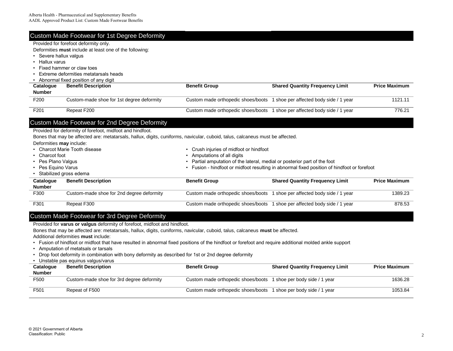|                          | <b>Custom Made Footwear for 1st Degree Deformity</b>                                                                                                                                                                                        |                                                                         |                                                                                           |                      |  |
|--------------------------|---------------------------------------------------------------------------------------------------------------------------------------------------------------------------------------------------------------------------------------------|-------------------------------------------------------------------------|-------------------------------------------------------------------------------------------|----------------------|--|
|                          | Provided for forefoot deformity only.                                                                                                                                                                                                       |                                                                         |                                                                                           |                      |  |
|                          | Deformities must include at least one of the following:                                                                                                                                                                                     |                                                                         |                                                                                           |                      |  |
| • Severe hallux valgus   |                                                                                                                                                                                                                                             |                                                                         |                                                                                           |                      |  |
|                          | Hallux varus                                                                                                                                                                                                                                |                                                                         |                                                                                           |                      |  |
|                          | Fixed hammer or claw toes                                                                                                                                                                                                                   |                                                                         |                                                                                           |                      |  |
|                          | Extreme deformities metatarsals heads                                                                                                                                                                                                       |                                                                         |                                                                                           |                      |  |
|                          | • Abnormal fixed position of any digit                                                                                                                                                                                                      |                                                                         |                                                                                           |                      |  |
| Catalogue                | <b>Benefit Description</b>                                                                                                                                                                                                                  | <b>Benefit Group</b>                                                    | <b>Shared Quantity Frequency Limit</b>                                                    | <b>Price Maximum</b> |  |
| <b>Number</b>            |                                                                                                                                                                                                                                             |                                                                         |                                                                                           |                      |  |
| F200                     | Custom-made shoe for 1st degree deformity                                                                                                                                                                                                   | Custom made orthopedic shoes/boots                                      | 1 shoe per affected body side / 1 year                                                    | 1121.11              |  |
| F201                     | Repeat F200                                                                                                                                                                                                                                 |                                                                         | Custom made orthopedic shoes/boots 1 shoe per affected body side / 1 year                 | 776.21               |  |
| Deformities may include: | Custom Made Footwear for 2nd Degree Deformity<br>Provided for deformity of forefoot, midfoot and hindfoot.<br>Bones that may be affected are: metatarsals, hallux, digits, cuniforms, navicular, cuboid, talus, calcaneus must be affected. |                                                                         |                                                                                           |                      |  |
|                          | • Charcot Marie Tooth disease                                                                                                                                                                                                               | Crush injuries of midfoot or hindfoot                                   |                                                                                           |                      |  |
| • Charcot foot           |                                                                                                                                                                                                                                             | Amputations of all digits                                               |                                                                                           |                      |  |
| Pes Plano Valgus         |                                                                                                                                                                                                                                             | Partial amputation of the lateral, medial or posterior part of the foot |                                                                                           |                      |  |
| Pes Equino Varus         |                                                                                                                                                                                                                                             |                                                                         | Fusion - hindfoot or midfoot resulting in abnormal fixed position of hindfoot or forefoot |                      |  |
| • Stabilized gross edema |                                                                                                                                                                                                                                             |                                                                         |                                                                                           |                      |  |
| Catalogue                | <b>Benefit Description</b>                                                                                                                                                                                                                  | <b>Benefit Group</b>                                                    | <b>Shared Quantity Frequency Limit</b>                                                    | <b>Price Maximum</b> |  |
| <b>Number</b>            |                                                                                                                                                                                                                                             |                                                                         |                                                                                           |                      |  |
| F300                     | Custom-made shoe for 2nd degree deformity                                                                                                                                                                                                   | Custom made orthopedic shoes/boots                                      | 1 shoe per affected body side / 1 year                                                    | 1389.23              |  |
| F301                     | Repeat F300                                                                                                                                                                                                                                 | Custom made orthopedic shoes/boots                                      | 1 shoe per affected body side / 1 year                                                    | 878.53               |  |
|                          | <b>Custom Made Footwear for 3rd Degree Deformity</b>                                                                                                                                                                                        |                                                                         |                                                                                           |                      |  |

Provided for **varus or valgus** deformity of forefoot, midfoot and hindfoot.

Bones that may be affected are: metatarsals, hallux, digits, cuniforms, navicular, cuboid, talus, calcaneus **must** be affected.

Additional deformities **must** include:

- Fusion of hindfoot or midfoot that have resulted in abnormal fixed positions of the hindfoot or forefoot and require additional molded ankle support
- Amputation of metatsals or tarsals
- Drop foot deformity in combination with bony deformity as described for 1st or 2nd degree deformity
- Unstable pas equinus valgus/varus

| Catalogue     | <b>Benefit Description</b>                | <b>Benefit Group</b>                                             | <b>Shared Quantity Frequency Limit</b> | <b>Price Maximum</b> |
|---------------|-------------------------------------------|------------------------------------------------------------------|----------------------------------------|----------------------|
| <b>Number</b> |                                           |                                                                  |                                        |                      |
| F500          | Custom-made shoe for 3rd degree deformity | Custom made orthopedic shoes/boots 1 shoe per body side / 1 year |                                        | 1636.28              |
| F501          | Repeat of F500                            | Custom made orthopedic shoes/boots 1                             | 1 shoe per body side / 1 year          | 1053.84              |